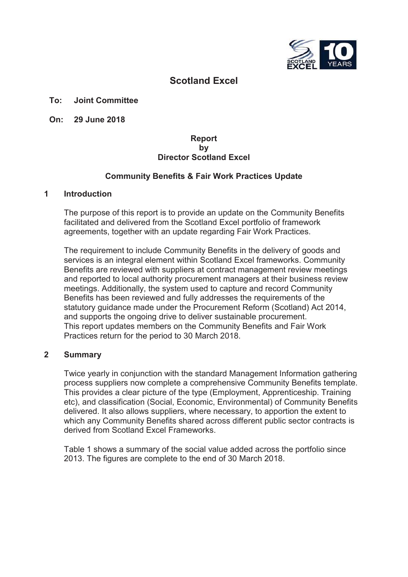

## **Scotland Excel**

#### **To: Joint Committee**

**On: 29 June 2018**

#### **Report by Director Scotland Excel**

#### **Community Benefits & Fair Work Practices Update**

#### **1 Introduction**

The purpose of this report is to provide an update on the Community Benefits facilitated and delivered from the Scotland Excel portfolio of framework agreements, together with an update regarding Fair Work Practices.

The requirement to include Community Benefits in the delivery of goods and services is an integral element within Scotland Excel frameworks. Community Benefits are reviewed with suppliers at contract management review meetings and reported to local authority procurement managers at their business review meetings. Additionally, the system used to capture and record Community Benefits has been reviewed and fully addresses the requirements of the statutory guidance made under the Procurement Reform (Scotland) Act 2014, and supports the ongoing drive to deliver sustainable procurement. This report updates members on the Community Benefits and Fair Work Practices return for the period to 30 March 2018.

#### **2 Summary**

Twice yearly in conjunction with the standard Management Information gathering process suppliers now complete a comprehensive Community Benefits template. This provides a clear picture of the type (Employment, Apprenticeship. Training etc), and classification (Social, Economic, Environmental) of Community Benefits delivered. It also allows suppliers, where necessary, to apportion the extent to which any Community Benefits shared across different public sector contracts is derived from Scotland Excel Frameworks.

Table 1 shows a summary of the social value added across the portfolio since 2013. The figures are complete to the end of 30 March 2018.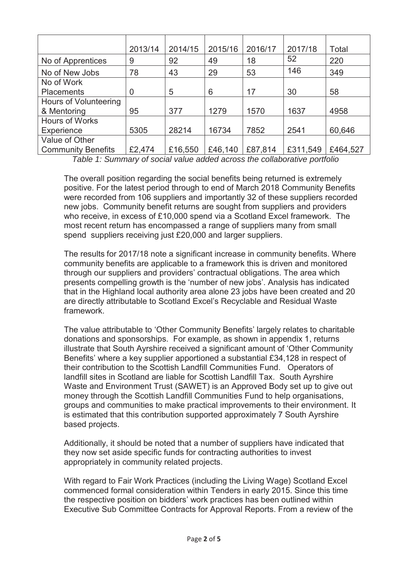|                              | 2013/14        | 2014/15 | 2015/16 | 2016/17 | 2017/18  | Total    |
|------------------------------|----------------|---------|---------|---------|----------|----------|
|                              |                |         |         |         | 52       |          |
| No of Apprentices            | 9              | 92      | 49      | 18      |          | 220      |
| No of New Jobs               | 78             | 43      | 29      | 53      | 146      | 349      |
| No of Work                   |                |         |         |         |          |          |
| <b>Placements</b>            | $\overline{0}$ | 5       | 6       | 17      | 30       | 58       |
| <b>Hours of Volunteering</b> |                |         |         |         |          |          |
| & Mentoring                  | 95             | 377     | 1279    | 1570    | 1637     | 4958     |
| <b>Hours of Works</b>        |                |         |         |         |          |          |
| Experience                   | 5305           | 28214   | 16734   | 7852    | 2541     | 60,646   |
| Value of Other               |                |         |         |         |          |          |
| <b>Community Benefits</b>    | £2,474         | £16,550 | £46,140 | £87,814 | £311,549 | £464,527 |

*Table 1: Summary of social value added across the collaborative portfolio* 

The overall position regarding the social benefits being returned is extremely positive. For the latest period through to end of March 2018 Community Benefits were recorded from 106 suppliers and importantly 32 of these suppliers recorded new jobs. Community benefit returns are sought from suppliers and providers who receive, in excess of £10,000 spend via a Scotland Excel framework. The most recent return has encompassed a range of suppliers many from small spend suppliers receiving just £20,000 and larger suppliers.

The results for 2017/18 note a significant increase in community benefits. Where community benefits are applicable to a framework this is driven and monitored through our suppliers and providers' contractual obligations. The area which presents compelling growth is the 'number of new jobs'. Analysis has indicated that in the Highland local authority area alone 23 jobs have been created and 20 are directly attributable to Scotland Excel's Recyclable and Residual Waste framework.

The value attributable to 'Other Community Benefits' largely relates to charitable donations and sponsorships. For example, as shown in appendix 1, returns illustrate that South Ayrshire received a significant amount of 'Other Community Benefits' where a key supplier apportioned a substantial £34,128 in respect of their contribution to the Scottish Landfill Communities Fund. Operators of landfill sites in Scotland are liable for Scottish Landfill Tax. South Ayrshire Waste and Environment Trust (SAWET) is an Approved Body set up to give out money through the Scottish Landfill Communities Fund to help organisations, groups and communities to make practical improvements to their environment. It is estimated that this contribution supported approximately 7 South Ayrshire based projects.

Additionally, it should be noted that a number of suppliers have indicated that they now set aside specific funds for contracting authorities to invest appropriately in community related projects.

With regard to Fair Work Practices (including the Living Wage) Scotland Excel commenced formal consideration within Tenders in early 2015. Since this time the respective position on bidders' work practices has been outlined within Executive Sub Committee Contracts for Approval Reports. From a review of the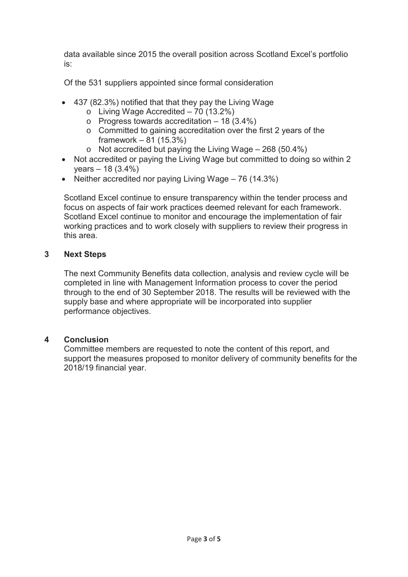data available since 2015 the overall position across Scotland Excel's portfolio is:

Of the 531 suppliers appointed since formal consideration

- $\bullet$  437 (82.3%) notified that that they pay the Living Wage
	- $\circ$  Living Wage Accredited 70 (13.2%)
	- $\circ$  Progress towards accreditation 18 (3.4%)
	- o Committed to gaining accreditation over the first 2 years of the framework – 81 (15.3%)
	- $\circ$  Not accredited but paying the Living Wage 268 (50.4%)
- Not accredited or paying the Living Wage but committed to doing so within 2 years – 18 (3.4%)
- Neither accredited nor paying Living Wage  $-76$  (14.3%)

Scotland Excel continue to ensure transparency within the tender process and focus on aspects of fair work practices deemed relevant for each framework. Scotland Excel continue to monitor and encourage the implementation of fair working practices and to work closely with suppliers to review their progress in this area.

## **3 Next Steps**

The next Community Benefits data collection, analysis and review cycle will be completed in line with Management Information process to cover the period through to the end of 30 September 2018. The results will be reviewed with the supply base and where appropriate will be incorporated into supplier performance objectives.

## **4 Conclusion**

Committee members are requested to note the content of this report, and support the measures proposed to monitor delivery of community benefits for the 2018/19 financial year.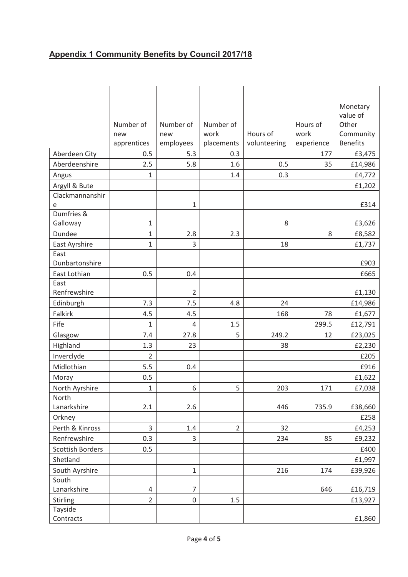# **Appendix 1 Community Benefits by Council 2017/18**

|                                | Number of<br>new   | Number of<br>new | Number of<br>work | Hours of     | Hours of<br>work  | Monetary<br>value of<br>Other<br>Community |
|--------------------------------|--------------------|------------------|-------------------|--------------|-------------------|--------------------------------------------|
|                                | apprentices<br>0.5 | employees<br>5.3 | placements<br>0.3 | volunteering | experience<br>177 | <b>Benefits</b>                            |
| Aberdeen City<br>Aberdeenshire | 2.5                | 5.8              | 1.6               | 0.5          | 35                | £3,475<br>£14,986                          |
| Angus                          | 1                  |                  | 1.4               | 0.3          |                   | £4,772                                     |
| Argyll & Bute                  |                    |                  |                   |              |                   | £1,202                                     |
| Clackmannanshir                |                    |                  |                   |              |                   |                                            |
| e                              |                    | 1                |                   |              |                   | £314                                       |
| Dumfries &                     |                    |                  |                   |              |                   |                                            |
| Galloway                       | 1                  |                  |                   | 8            |                   | £3,626                                     |
| Dundee                         | $\mathbf{1}$       | 2.8              | 2.3               |              | 8                 | £8,582                                     |
| East Ayrshire                  | $\mathbf{1}$       | 3                |                   | 18           |                   | £1,737                                     |
| East                           |                    |                  |                   |              |                   |                                            |
| Dunbartonshire                 |                    |                  |                   |              |                   | £903                                       |
| East Lothian                   | 0.5                | 0.4              |                   |              |                   | £665                                       |
| East                           |                    |                  |                   |              |                   |                                            |
| Renfrewshire                   |                    | $\overline{2}$   |                   |              |                   | £1,130                                     |
| Edinburgh                      | 7.3                | 7.5              | 4.8               | 24           |                   | £14,986                                    |
| Falkirk                        | 4.5                | 4.5              |                   | 168          | 78                | £1,677                                     |
| Fife                           | $\mathbf{1}$       | 4                | 1.5               |              | 299.5             | £12,791                                    |
| Glasgow                        | 7.4                | 27.8             | 5                 | 249.2        | 12                | £23,025                                    |
| Highland                       | 1.3                | 23               |                   | 38           |                   | £2,230                                     |
| Inverclyde                     | $\overline{2}$     |                  |                   |              |                   | £205                                       |
| Midlothian                     | 5.5                | 0.4              |                   |              |                   | £916                                       |
| Moray                          | 0.5                |                  |                   |              |                   | £1,622                                     |
| North Ayrshire                 | 1                  | 6                | 5                 | 203          | 171               | £7,038                                     |
| North                          |                    |                  |                   |              |                   |                                            |
| Lanarkshire                    | 2.1                | 2.6              |                   | 446          | 735.9             | £38,660                                    |
| Orkney                         |                    |                  |                   |              |                   | £258                                       |
| Perth & Kinross                | 3                  | 1.4              | $\overline{2}$    | 32           |                   | £4,253                                     |
| Renfrewshire                   | 0.3                | 3                |                   | 234          | 85                | £9,232                                     |
| <b>Scottish Borders</b>        | 0.5                |                  |                   |              |                   | £400                                       |
| Shetland                       |                    |                  |                   |              |                   | £1,997                                     |
| South Ayrshire                 |                    | $\mathbf{1}$     |                   | 216          | 174               | £39,926                                    |
| South                          |                    |                  |                   |              |                   |                                            |
| Lanarkshire                    | 4                  | $\overline{7}$   |                   |              | 646               | £16,719                                    |
| <b>Stirling</b>                | $\overline{2}$     | 0                | 1.5               |              |                   | £13,927                                    |
| Tayside                        |                    |                  |                   |              |                   |                                            |
| Contracts                      |                    |                  |                   |              |                   | £1,860                                     |